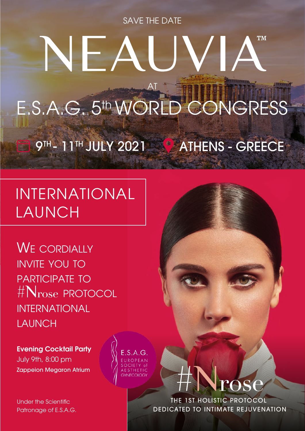SAVE THE DATE

# **TM**  $\sqrt{1-\rho}$ AT E.S.A.G. 5th WORLD CONGRESS 9TH - 11TH JULY 2021 4 ATHENS - GREECE

# INTERNATIONAL LAUNCH

WE CORDIALLY INVITE YOU TO PARTICIPATE TO #Nrose PROTOCOL INTERNATIONAL LAUNCH

Evening Cocktail Party July 9th, 8:00 pm Zappeion Megaron Atrium

Under the Scientific Patronage of E.S.A.G.  $E.S.A.G.$ 



THE 1ST HOLISTIC PROTOCOL DEDICATED TO INTIMATE REJUVENATION